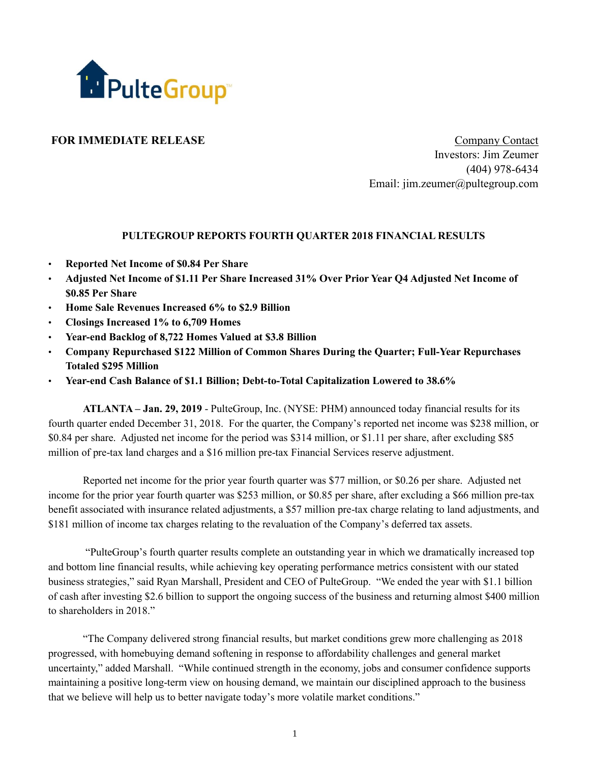

#### **FOR IMMEDIATE RELEASE COMPANY** Company Contact

Investors: Jim Zeumer (404) 978-6434 Email: jim.zeumer@pultegroup.com

#### **PULTEGROUP REPORTS FOURTH QUARTER 2018 FINANCIAL RESULTS**

- **Reported Net Income of \$0.84 Per Share**
- **Adjusted Net Income of \$1.11 Per Share Increased 31% Over Prior Year Q4 Adjusted Net Income of \$0.85 Per Share**
- **Home Sale Revenues Increased 6% to \$2.9 Billion**
- **Closings Increased 1% to 6,709 Homes**
- **Year-end Backlog of 8,722 Homes Valued at \$3.8 Billion**
- **Company Repurchased \$122 Million of Common Shares During the Quarter; Full-Year Repurchases Totaled \$295 Million**
- **Year-end Cash Balance of \$1.1 Billion; Debt-to-Total Capitalization Lowered to 38.6%**

**ATLANTA – Jan. 29, 2019** - PulteGroup, Inc. (NYSE: PHM) announced today financial results for its fourth quarter ended December 31, 2018. For the quarter, the Company's reported net income was \$238 million, or \$0.84 per share. Adjusted net income for the period was \$314 million, or \$1.11 per share, after excluding \$85 million of pre-tax land charges and a \$16 million pre-tax Financial Services reserve adjustment.

Reported net income for the prior year fourth quarter was \$77 million, or \$0.26 per share. Adjusted net income for the prior year fourth quarter was \$253 million, or \$0.85 per share, after excluding a \$66 million pre-tax benefit associated with insurance related adjustments, a \$57 million pre-tax charge relating to land adjustments, and \$181 million of income tax charges relating to the revaluation of the Company's deferred tax assets.

"PulteGroup's fourth quarter results complete an outstanding year in which we dramatically increased top and bottom line financial results, while achieving key operating performance metrics consistent with our stated business strategies," said Ryan Marshall, President and CEO of PulteGroup. "We ended the year with \$1.1 billion of cash after investing \$2.6 billion to support the ongoing success of the business and returning almost \$400 million to shareholders in 2018."

"The Company delivered strong financial results, but market conditions grew more challenging as 2018 progressed, with homebuying demand softening in response to affordability challenges and general market uncertainty," added Marshall. "While continued strength in the economy, jobs and consumer confidence supports maintaining a positive long-term view on housing demand, we maintain our disciplined approach to the business that we believe will help us to better navigate today's more volatile market conditions."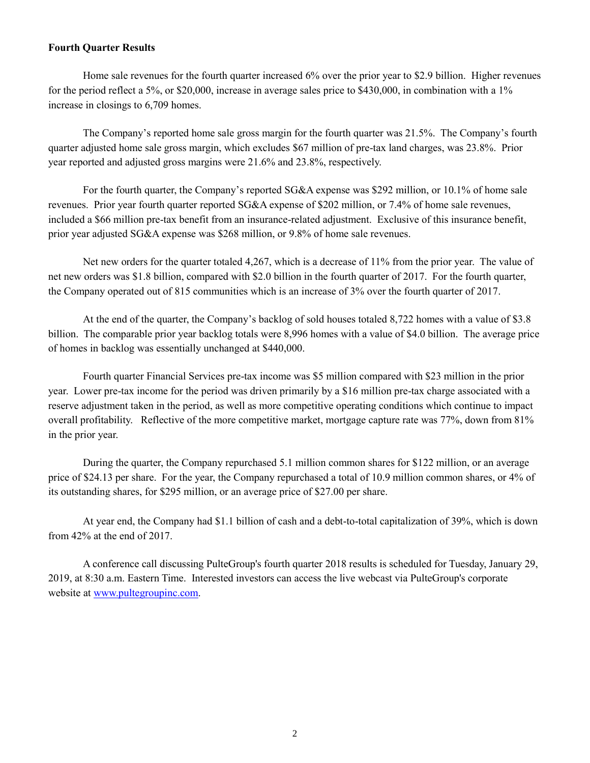#### **Fourth Quarter Results**

Home sale revenues for the fourth quarter increased 6% over the prior year to \$2.9 billion. Higher revenues for the period reflect a 5%, or \$20,000, increase in average sales price to \$430,000, in combination with a 1% increase in closings to 6,709 homes.

The Company's reported home sale gross margin for the fourth quarter was 21.5%. The Company's fourth quarter adjusted home sale gross margin, which excludes \$67 million of pre-tax land charges, was 23.8%. Prior year reported and adjusted gross margins were 21.6% and 23.8%, respectively.

For the fourth quarter, the Company's reported SG&A expense was \$292 million, or 10.1% of home sale revenues. Prior year fourth quarter reported SG&A expense of \$202 million, or 7.4% of home sale revenues, included a \$66 million pre-tax benefit from an insurance-related adjustment. Exclusive of this insurance benefit, prior year adjusted SG&A expense was \$268 million, or 9.8% of home sale revenues.

Net new orders for the quarter totaled 4,267, which is a decrease of 11% from the prior year. The value of net new orders was \$1.8 billion, compared with \$2.0 billion in the fourth quarter of 2017. For the fourth quarter, the Company operated out of 815 communities which is an increase of 3% over the fourth quarter of 2017.

At the end of the quarter, the Company's backlog of sold houses totaled 8,722 homes with a value of \$3.8 billion. The comparable prior year backlog totals were 8,996 homes with a value of \$4.0 billion. The average price of homes in backlog was essentially unchanged at \$440,000.

Fourth quarter Financial Services pre-tax income was \$5 million compared with \$23 million in the prior year. Lower pre-tax income for the period was driven primarily by a \$16 million pre-tax charge associated with a reserve adjustment taken in the period, as well as more competitive operating conditions which continue to impact overall profitability. Reflective of the more competitive market, mortgage capture rate was 77%, down from 81% in the prior year.

During the quarter, the Company repurchased 5.1 million common shares for \$122 million, or an average price of \$24.13 per share. For the year, the Company repurchased a total of 10.9 million common shares, or 4% of its outstanding shares, for \$295 million, or an average price of \$27.00 per share.

At year end, the Company had \$1.1 billion of cash and a debt-to-total capitalization of 39%, which is down from 42% at the end of 2017.

A conference call discussing PulteGroup's fourth quarter 2018 results is scheduled for Tuesday, January 29, 2019, at 8:30 a.m. Eastern Time. Interested investors can access the live webcast via PulteGroup's corporate website at www.pultegroupinc.com.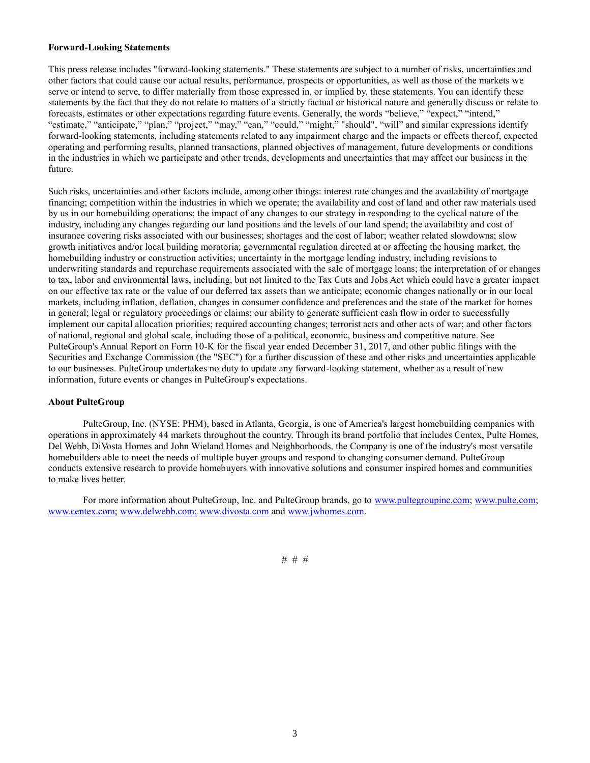#### **Forward-Looking Statements**

This press release includes "forward-looking statements." These statements are subject to a number of risks, uncertainties and other factors that could cause our actual results, performance, prospects or opportunities, as well as those of the markets we serve or intend to serve, to differ materially from those expressed in, or implied by, these statements. You can identify these statements by the fact that they do not relate to matters of a strictly factual or historical nature and generally discuss or relate to forecasts, estimates or other expectations regarding future events. Generally, the words "believe," "expect," "intend," "estimate," "anticipate," "plan," "project," "may," "can," "could," "might," "should", "will" and similar expressions identify forward-looking statements, including statements related to any impairment charge and the impacts or effects thereof, expected operating and performing results, planned transactions, planned objectives of management, future developments or conditions in the industries in which we participate and other trends, developments and uncertainties that may affect our business in the future.

Such risks, uncertainties and other factors include, among other things: interest rate changes and the availability of mortgage financing; competition within the industries in which we operate; the availability and cost of land and other raw materials used by us in our homebuilding operations; the impact of any changes to our strategy in responding to the cyclical nature of the industry, including any changes regarding our land positions and the levels of our land spend; the availability and cost of insurance covering risks associated with our businesses; shortages and the cost of labor; weather related slowdowns; slow growth initiatives and/or local building moratoria; governmental regulation directed at or affecting the housing market, the homebuilding industry or construction activities; uncertainty in the mortgage lending industry, including revisions to underwriting standards and repurchase requirements associated with the sale of mortgage loans; the interpretation of or changes to tax, labor and environmental laws, including, but not limited to the Tax Cuts and Jobs Act which could have a greater impact on our effective tax rate or the value of our deferred tax assets than we anticipate; economic changes nationally or in our local markets, including inflation, deflation, changes in consumer confidence and preferences and the state of the market for homes in general; legal or regulatory proceedings or claims; our ability to generate sufficient cash flow in order to successfully implement our capital allocation priorities; required accounting changes; terrorist acts and other acts of war; and other factors of national, regional and global scale, including those of a political, economic, business and competitive nature. See PulteGroup's Annual Report on Form 10-K for the fiscal year ended December 31, 2017, and other public filings with the Securities and Exchange Commission (the "SEC") for a further discussion of these and other risks and uncertainties applicable to our businesses. PulteGroup undertakes no duty to update any forward-looking statement, whether as a result of new information, future events or changes in PulteGroup's expectations.

#### **About PulteGroup**

PulteGroup, Inc. (NYSE: PHM), based in Atlanta, Georgia, is one of America's largest homebuilding companies with operations in approximately 44 markets throughout the country. Through its brand portfolio that includes Centex, Pulte Homes, Del Webb, DiVosta Homes and John Wieland Homes and Neighborhoods, the Company is one of the industry's most versatile homebuilders able to meet the needs of multiple buyer groups and respond to changing consumer demand. PulteGroup conducts extensive research to provide homebuyers with innovative solutions and consumer inspired homes and communities to make lives better.

For more information about PulteGroup, Inc. and PulteGroup brands, go to www.pultegroupinc.com; www.pulte.com; www.centex.com; www.delwebb.com; www.divosta.com and www.jwhomes.com.

# # #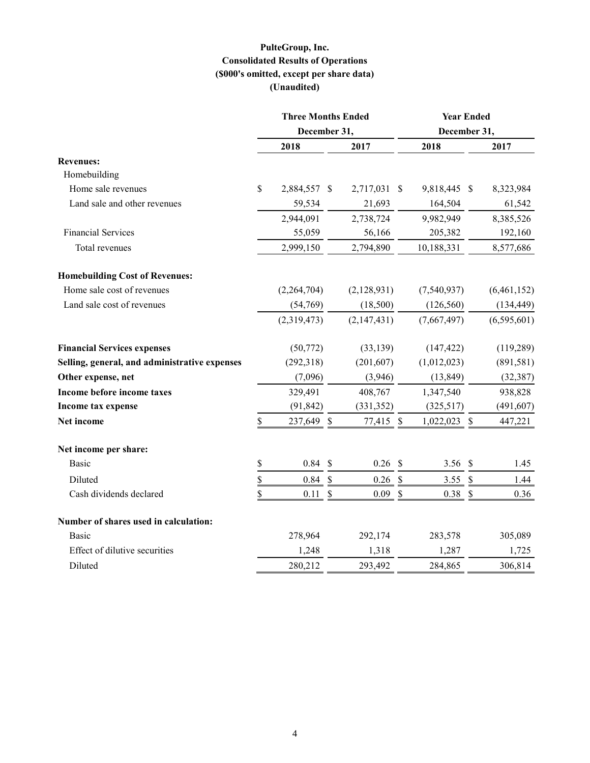## **PulteGroup, Inc. Consolidated Results of Operations (\$000's omitted, except per share data) (Unaudited)**

|                                               |               | <b>Three Months Ended</b> |  |             |               | <b>Year Ended</b> |  |             |  |  |  |  |
|-----------------------------------------------|---------------|---------------------------|--|-------------|---------------|-------------------|--|-------------|--|--|--|--|
|                                               |               | December 31,              |  |             |               | December 31,      |  |             |  |  |  |  |
|                                               |               | 2018                      |  | 2017        |               | 2018              |  | 2017        |  |  |  |  |
| <b>Revenues:</b>                              |               |                           |  |             |               |                   |  |             |  |  |  |  |
| Homebuilding                                  |               |                           |  |             |               |                   |  |             |  |  |  |  |
| Home sale revenues                            | $\mathsf{\$}$ | 2,884,557 \$              |  | 2,717,031   | -S            | 9,818,445 \$      |  | 8,323,984   |  |  |  |  |
| Land sale and other revenues                  |               | 59,534                    |  | 21,693      |               | 164,504           |  | 61,542      |  |  |  |  |
|                                               |               | 2,944,091                 |  | 2,738,724   |               | 9,982,949         |  | 8,385,526   |  |  |  |  |
| <b>Financial Services</b>                     |               | 55,059                    |  | 56,166      |               | 205,382           |  | 192,160     |  |  |  |  |
| Total revenues                                |               | 2,999,150                 |  | 2,794,890   |               | 10,188,331        |  | 8,577,686   |  |  |  |  |
| <b>Homebuilding Cost of Revenues:</b>         |               |                           |  |             |               |                   |  |             |  |  |  |  |
| Home sale cost of revenues                    |               | (2,264,704)               |  | (2,128,931) |               | (7,540,937)       |  | (6,461,152) |  |  |  |  |
| Land sale cost of revenues                    |               | (54,769)                  |  | (18,500)    |               | (126, 560)        |  | (134, 449)  |  |  |  |  |
|                                               |               | (2,319,473)               |  | (2,147,431) |               | (7,667,497)       |  | (6,595,601) |  |  |  |  |
| <b>Financial Services expenses</b>            |               | (50, 772)                 |  | (33, 139)   |               | (147, 422)        |  | (119, 289)  |  |  |  |  |
| Selling, general, and administrative expenses |               | (292,318)                 |  | (201, 607)  |               | (1,012,023)       |  | (891,581)   |  |  |  |  |
| Other expense, net                            |               | (7,096)                   |  | (3,946)     |               | (13, 849)         |  | (32, 387)   |  |  |  |  |
| Income before income taxes                    |               | 329,491                   |  | 408,767     |               | 1,347,540         |  | 938,828     |  |  |  |  |
| Income tax expense                            |               | (91, 842)                 |  | (331, 352)  |               | (325,517)         |  | (491, 607)  |  |  |  |  |
| Net income                                    | \$            | 237,649 \$                |  | 77,415 \$   |               | $1,022,023$ \$    |  | 447,221     |  |  |  |  |
| Net income per share:                         |               |                           |  |             |               |                   |  |             |  |  |  |  |
| Basic                                         | \$            | $0.84$ \$                 |  | $0.26$ \$   |               | 3.56 $$$          |  | 1.45        |  |  |  |  |
| Diluted                                       | \$            | $0.84$ \$                 |  | $0.26$ \$   |               | 3.55 $$$          |  | 1.44        |  |  |  |  |
| Cash dividends declared                       | \$            | $0.11 \text{ }$ \$        |  | 0.09        | $\mathcal{S}$ | 0.38 <sup>°</sup> |  | 0.36        |  |  |  |  |
| Number of shares used in calculation:         |               |                           |  |             |               |                   |  |             |  |  |  |  |
| Basic                                         |               | 278,964                   |  | 292,174     |               | 283,578           |  | 305,089     |  |  |  |  |
| Effect of dilutive securities                 |               | 1,248                     |  | 1,318       |               | 1,287             |  | 1,725       |  |  |  |  |
| Diluted                                       |               | 280,212                   |  | 293,492     |               | 284,865           |  | 306,814     |  |  |  |  |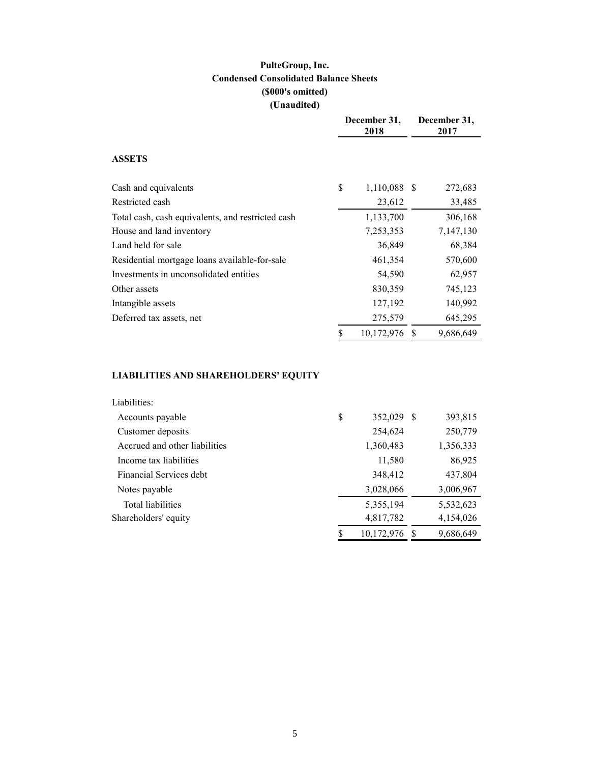## **PulteGroup, Inc. Condensed Consolidated Balance Sheets (\$000's omitted) (Unaudited)**

|                                                   | December 31,<br>2018 | December 31,<br>2017 |
|---------------------------------------------------|----------------------|----------------------|
| <b>ASSETS</b>                                     |                      |                      |
| Cash and equivalents                              | \$<br>1,110,088 \$   | 272,683              |
| Restricted cash                                   | 23,612               | 33,485               |
| Total cash, cash equivalents, and restricted cash | 1,133,700            | 306,168              |
| House and land inventory                          | 7,253,353            | 7,147,130            |
| Land held for sale                                | 36,849               | 68,384               |
| Residential mortgage loans available-for-sale     | 461,354              | 570,600              |
| Investments in unconsolidated entities            | 54,590               | 62,957               |
| Other assets                                      | 830,359              | 745,123              |
| Intangible assets                                 | 127,192              | 140,992              |
| Deferred tax assets, net                          | 275,579              | 645,295              |
|                                                   | \$<br>10,172,976     | 9,686,649            |

### **LIABILITIES AND SHAREHOLDERS' EQUITY**

| Liabilities:                  |   |            |           |
|-------------------------------|---|------------|-----------|
| Accounts payable              | S | 352,029 \$ | 393,815   |
| Customer deposits             |   | 254,624    | 250,779   |
| Accrued and other liabilities |   | 1,360,483  | 1,356,333 |
| Income tax liabilities        |   | 11,580     | 86,925    |
| Financial Services debt.      |   | 348,412    | 437,804   |
| Notes payable                 |   | 3,028,066  | 3,006,967 |
| <b>Total liabilities</b>      |   | 5,355,194  | 5,532,623 |
| Shareholders' equity          |   | 4,817,782  | 4,154,026 |
|                               | S | 10,172,976 | 9,686,649 |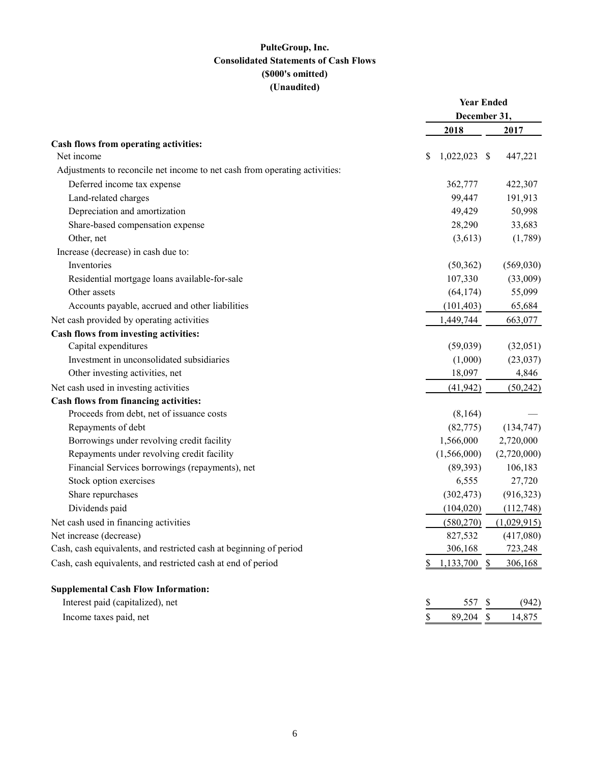## **PulteGroup, Inc. Consolidated Statements of Cash Flows (\$000's omitted) (Unaudited)**

|                                                                            | <b>Year Ended</b>    |             |
|----------------------------------------------------------------------------|----------------------|-------------|
|                                                                            | December 31,         |             |
|                                                                            | 2018                 | 2017        |
| Cash flows from operating activities:                                      |                      |             |
| Net income                                                                 | $1,022,023$ \$<br>\$ | 447,221     |
| Adjustments to reconcile net income to net cash from operating activities: |                      |             |
| Deferred income tax expense                                                | 362,777              | 422,307     |
| Land-related charges                                                       | 99,447               | 191,913     |
| Depreciation and amortization                                              | 49,429               | 50,998      |
| Share-based compensation expense                                           | 28,290               | 33,683      |
| Other, net                                                                 | (3,613)              | (1,789)     |
| Increase (decrease) in cash due to:                                        |                      |             |
| Inventories                                                                | (50, 362)            | (569,030)   |
| Residential mortgage loans available-for-sale                              | 107,330              | (33,009)    |
| Other assets                                                               | (64, 174)            | 55,099      |
| Accounts payable, accrued and other liabilities                            | (101, 403)           | 65,684      |
| Net cash provided by operating activities                                  | 1,449,744            | 663,077     |
| Cash flows from investing activities:                                      |                      |             |
| Capital expenditures                                                       | (59,039)             | (32,051)    |
| Investment in unconsolidated subsidiaries                                  | (1,000)              | (23,037)    |
| Other investing activities, net                                            | 18,097               | 4,846       |
| Net cash used in investing activities                                      | (41, 942)            | (50, 242)   |
| Cash flows from financing activities:                                      |                      |             |
| Proceeds from debt, net of issuance costs                                  | (8,164)              |             |
| Repayments of debt                                                         | (82, 775)            | (134, 747)  |
| Borrowings under revolving credit facility                                 | 1,566,000            | 2,720,000   |
| Repayments under revolving credit facility                                 | (1,566,000)          | (2,720,000) |
| Financial Services borrowings (repayments), net                            | (89, 393)            | 106,183     |
| Stock option exercises                                                     | 6,555                | 27,720      |
| Share repurchases                                                          | (302, 473)           | (916, 323)  |
| Dividends paid                                                             | (104, 020)           | (112,748)   |
| Net cash used in financing activities                                      | (580, 270)           | (1,029,915) |
| Net increase (decrease)                                                    | 827,532              | (417,080)   |
| Cash, cash equivalents, and restricted cash at beginning of period         | 306,168              | 723,248     |
| Cash, cash equivalents, and restricted cash at end of period               | $1,133,700$ \$       | 306,168     |
| <b>Supplemental Cash Flow Information:</b>                                 |                      |             |
| Interest paid (capitalized), net                                           | \$<br>557            | (942)<br>S  |
| Income taxes paid, net                                                     | S<br>89,204 \$       | 14,875      |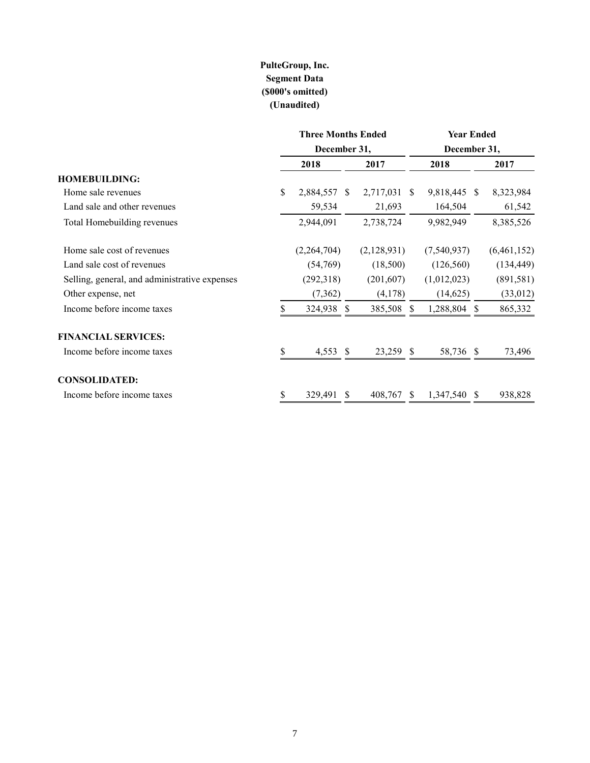## **PulteGroup, Inc. Segment Data (\$000's omitted) (Unaudited)**

|    |              |          |                         | <b>Year Ended</b>                                      |                       |          |                                                                                 |  |  |  |
|----|--------------|----------|-------------------------|--------------------------------------------------------|-----------------------|----------|---------------------------------------------------------------------------------|--|--|--|
|    | December 31, |          |                         |                                                        | December 31,          |          |                                                                                 |  |  |  |
|    | 2018         |          | 2017                    |                                                        | 2018                  |          | 2017                                                                            |  |  |  |
|    |              |          |                         |                                                        |                       |          |                                                                                 |  |  |  |
| \$ | 2,884,557    | <b>S</b> | 2,717,031               | \$.                                                    | 9,818,445             | -S       | 8,323,984                                                                       |  |  |  |
|    | 59,534       |          | 21,693                  |                                                        | 164,504               |          | 61,542                                                                          |  |  |  |
|    | 2,944,091    |          | 2,738,724               |                                                        | 9,982,949             |          | 8,385,526                                                                       |  |  |  |
|    |              |          |                         |                                                        |                       |          | (6,461,152)                                                                     |  |  |  |
|    | (54,769)     |          |                         |                                                        |                       |          | (134, 449)                                                                      |  |  |  |
|    | (292,318)    |          |                         |                                                        |                       |          | (891,581)                                                                       |  |  |  |
|    | (7,362)      |          | (4,178)                 |                                                        |                       |          | (33,012)                                                                        |  |  |  |
|    | 324,938      | -S       | 385,508                 | <sup>S</sup>                                           |                       | -S       | 865,332                                                                         |  |  |  |
|    |              |          |                         |                                                        |                       |          |                                                                                 |  |  |  |
| \$ |              |          |                         |                                                        |                       |          | 73,496                                                                          |  |  |  |
|    |              |          |                         |                                                        |                       |          |                                                                                 |  |  |  |
| \$ | 329,491      | S        | 408,767                 | -S                                                     | 1,347,540             | <b>S</b> | 938,828                                                                         |  |  |  |
|    |              |          | (2,264,704)<br>4,553 \$ | <b>Three Months Ended</b><br>(2,128,931)<br>(201, 607) | (18,500)<br>23,259 \$ |          | (7,540,937)<br>(126, 560)<br>(1,012,023)<br>(14, 625)<br>1,288,804<br>58,736 \$ |  |  |  |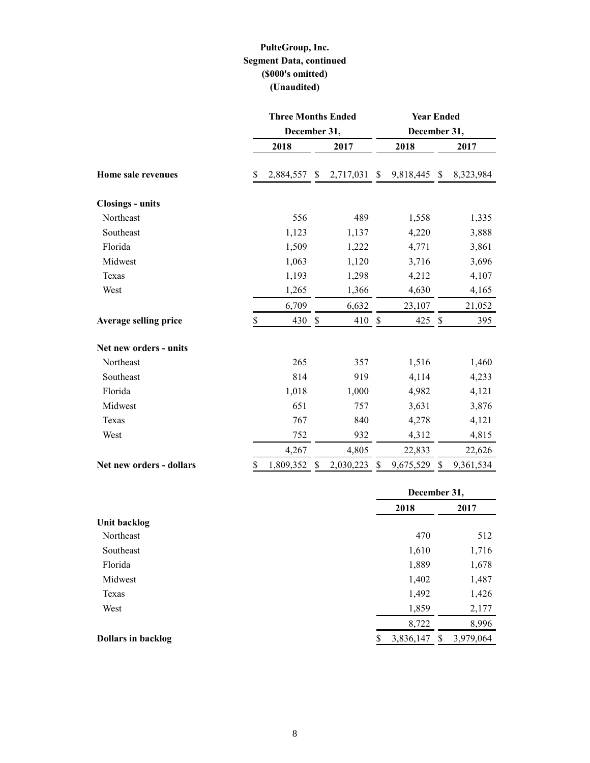## **PulteGroup, Inc. Segment Data, continued (\$000's omitted) (Unaudited)**

| <b>Three Months Ended</b>    |    |              |    |           | <b>Year Ended</b>  |    |           |  |  |  |  |
|------------------------------|----|--------------|----|-----------|--------------------|----|-----------|--|--|--|--|
|                              |    | December 31, |    |           | December 31,       |    |           |  |  |  |  |
|                              |    | 2018         |    | 2017      | 2018               |    | 2017      |  |  |  |  |
| Home sale revenues           | \$ | 2,884,557    | \$ | 2,717,031 | \$<br>9,818,445 \$ |    | 8,323,984 |  |  |  |  |
| <b>Closings - units</b>      |    |              |    |           |                    |    |           |  |  |  |  |
| Northeast                    |    | 556          |    | 489       | 1,558              |    | 1,335     |  |  |  |  |
| Southeast                    |    | 1,123        |    | 1,137     | 4,220              |    | 3,888     |  |  |  |  |
| Florida                      |    | 1,509        |    | 1,222     | 4,771              |    | 3,861     |  |  |  |  |
| Midwest                      |    | 1,063        |    | 1,120     | 3,716              |    | 3,696     |  |  |  |  |
| Texas                        |    | 1,193        |    | 1,298     | 4,212              |    | 4,107     |  |  |  |  |
| West                         |    | 1,265        |    | 1,366     | 4,630              |    | 4,165     |  |  |  |  |
|                              |    | 6,709        |    | 6,632     | 23,107             |    | 21,052    |  |  |  |  |
| <b>Average selling price</b> | \$ | 430 \$       |    | 410 \$    | 425 \$             |    | 395       |  |  |  |  |
| Net new orders - units       |    |              |    |           |                    |    |           |  |  |  |  |
| Northeast                    |    | 265          |    | 357       | 1,516              |    | 1,460     |  |  |  |  |
| Southeast                    |    | 814          |    | 919       | 4,114              |    | 4,233     |  |  |  |  |
| Florida                      |    | 1,018        |    | 1,000     | 4,982              |    | 4,121     |  |  |  |  |
| Midwest                      |    | 651          |    | 757       | 3,631              |    | 3,876     |  |  |  |  |
| Texas                        |    | 767          |    | 840       | 4,278              |    | 4,121     |  |  |  |  |
| West                         |    | 752          |    | 932       | 4,312              |    | 4,815     |  |  |  |  |
|                              |    | 4,267        |    | 4,805     | 22,833             |    | 22,626    |  |  |  |  |
| Net new orders - dollars     | \$ | 1,809,352    | \$ | 2,030,223 | \$<br>9,675,529    | \$ | 9,361,534 |  |  |  |  |

|                           | December 31,   |          |           |
|---------------------------|----------------|----------|-----------|
|                           | 2018           |          | 2017      |
| Unit backlog              |                |          |           |
| Northeast                 | 470            |          | 512       |
| Southeast                 | 1,610          |          | 1,716     |
| Florida                   | 1,889          |          | 1,678     |
| Midwest                   | 1,402          |          | 1,487     |
| Texas                     | 1,492          |          | 1,426     |
| West                      | 1,859          |          | 2,177     |
|                           | 8,722          |          | 8,996     |
| <b>Dollars in backlog</b> | 3,836,147<br>S | <b>S</b> | 3,979,064 |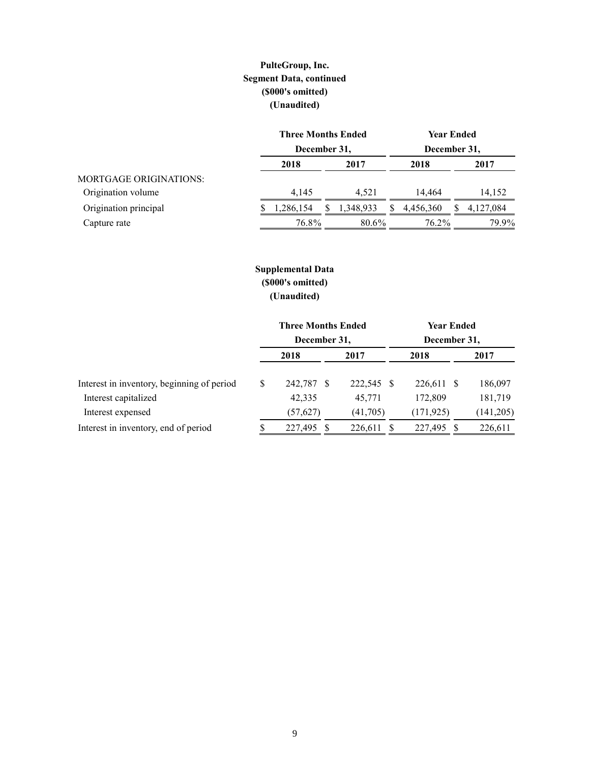# **PulteGroup, Inc. Segment Data, continued (\$000's omitted) (Unaudited)**

|                               | <b>Three Months Ended</b> |  |           |  |              | <b>Year Ended</b> |  |  |  |
|-------------------------------|---------------------------|--|-----------|--|--------------|-------------------|--|--|--|
|                               | December 31,              |  |           |  | December 31, |                   |  |  |  |
|                               | 2018                      |  | 2017      |  | 2018         | 2017              |  |  |  |
| <b>MORTGAGE ORIGINATIONS:</b> |                           |  |           |  |              |                   |  |  |  |
| Origination volume            | 4.145                     |  | 4.521     |  | 14.464       | 14,152            |  |  |  |
| Origination principal         | ,286,154                  |  | 1,348,933 |  | 4,456,360    | 4,127,084         |  |  |  |
| Capture rate                  | 76.8%                     |  | 80.6%     |  | 76.2%        | 79.9%             |  |  |  |

## **Supplemental Data (\$000's omitted) (Unaudited)**

|                                            | <b>Three Months Ended</b><br>December 31, |            |  |            | <b>Year Ended</b><br>December 31, |            |      |           |
|--------------------------------------------|-------------------------------------------|------------|--|------------|-----------------------------------|------------|------|-----------|
|                                            |                                           | 2018       |  | 2017       | 2018                              |            | 2017 |           |
| Interest in inventory, beginning of period | \$                                        | 242,787 \$ |  | 222,545 \$ |                                   | 226,611 \$ |      | 186,097   |
| Interest capitalized                       |                                           | 42,335     |  | 45,771     |                                   | 172,809    |      | 181,719   |
| Interest expensed                          |                                           | (57, 627)  |  | (41,705)   |                                   | (171, 925) |      | (141,205) |
| Interest in inventory, end of period       |                                           | 227,495 \$ |  | 226,611    | <sup>\$</sup>                     | 227,495    |      | 226,611   |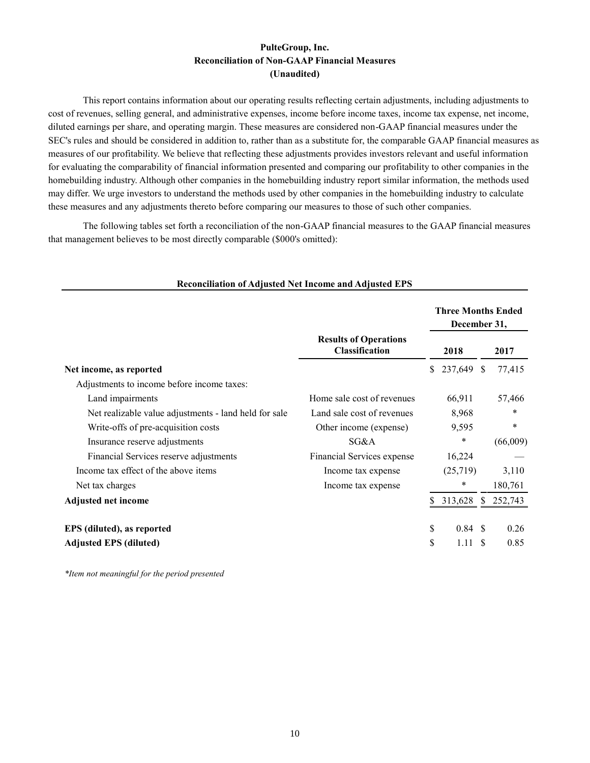#### **PulteGroup, Inc. Reconciliation of Non-GAAP Financial Measures (Unaudited)**

This report contains information about our operating results reflecting certain adjustments, including adjustments to cost of revenues, selling general, and administrative expenses, income before income taxes, income tax expense, net income, diluted earnings per share, and operating margin. These measures are considered non-GAAP financial measures under the SEC's rules and should be considered in addition to, rather than as a substitute for, the comparable GAAP financial measures as measures of our profitability. We believe that reflecting these adjustments provides investors relevant and useful information for evaluating the comparability of financial information presented and comparing our profitability to other companies in the homebuilding industry. Although other companies in the homebuilding industry report similar information, the methods used may differ. We urge investors to understand the methods used by other companies in the homebuilding industry to calculate these measures and any adjustments thereto before comparing our measures to those of such other companies.

The following tables set forth a reconciliation of the non-GAAP financial measures to the GAAP financial measures that management believes to be most directly comparable (\$000's omitted):

|                                                       |                                                       |    |                    | <b>Three Months Ended</b><br>December 31, |          |  |  |
|-------------------------------------------------------|-------------------------------------------------------|----|--------------------|-------------------------------------------|----------|--|--|
|                                                       | <b>Results of Operations</b><br><b>Classification</b> |    | 2018               |                                           | 2017     |  |  |
| Net income, as reported                               |                                                       | \$ | 237,649            | -S                                        | 77,415   |  |  |
| Adjustments to income before income taxes:            |                                                       |    |                    |                                           |          |  |  |
| Land impairments                                      | Home sale cost of revenues                            |    | 66,911             |                                           | 57,466   |  |  |
| Net realizable value adjustments - land held for sale | Land sale cost of revenues                            |    | 8,968              |                                           | *        |  |  |
| Write-offs of pre-acquisition costs                   | Other income (expense)                                |    | 9,595              |                                           | $\ast$   |  |  |
| Insurance reserve adjustments                         | SG&A                                                  |    | ∗                  |                                           | (66,009) |  |  |
| Financial Services reserve adjustments                | Financial Services expense                            |    | 16,224             |                                           |          |  |  |
| Income tax effect of the above items                  | Income tax expense                                    |    | (25,719)           |                                           | 3,110    |  |  |
| Net tax charges                                       | Income tax expense                                    |    | ∗                  |                                           | 180,761  |  |  |
| <b>Adjusted net income</b>                            |                                                       | S  | 313,628            | S                                         | 252,743  |  |  |
| EPS (diluted), as reported                            |                                                       | \$ | $0.84 \text{ }$ \$ |                                           | 0.26     |  |  |
| <b>Adjusted EPS (diluted)</b>                         |                                                       | \$ | 1.11               | S.                                        | 0.85     |  |  |

#### **Reconciliation of Adjusted Net Income and Adjusted EPS**

*\*Item not meaningful for the period presented*